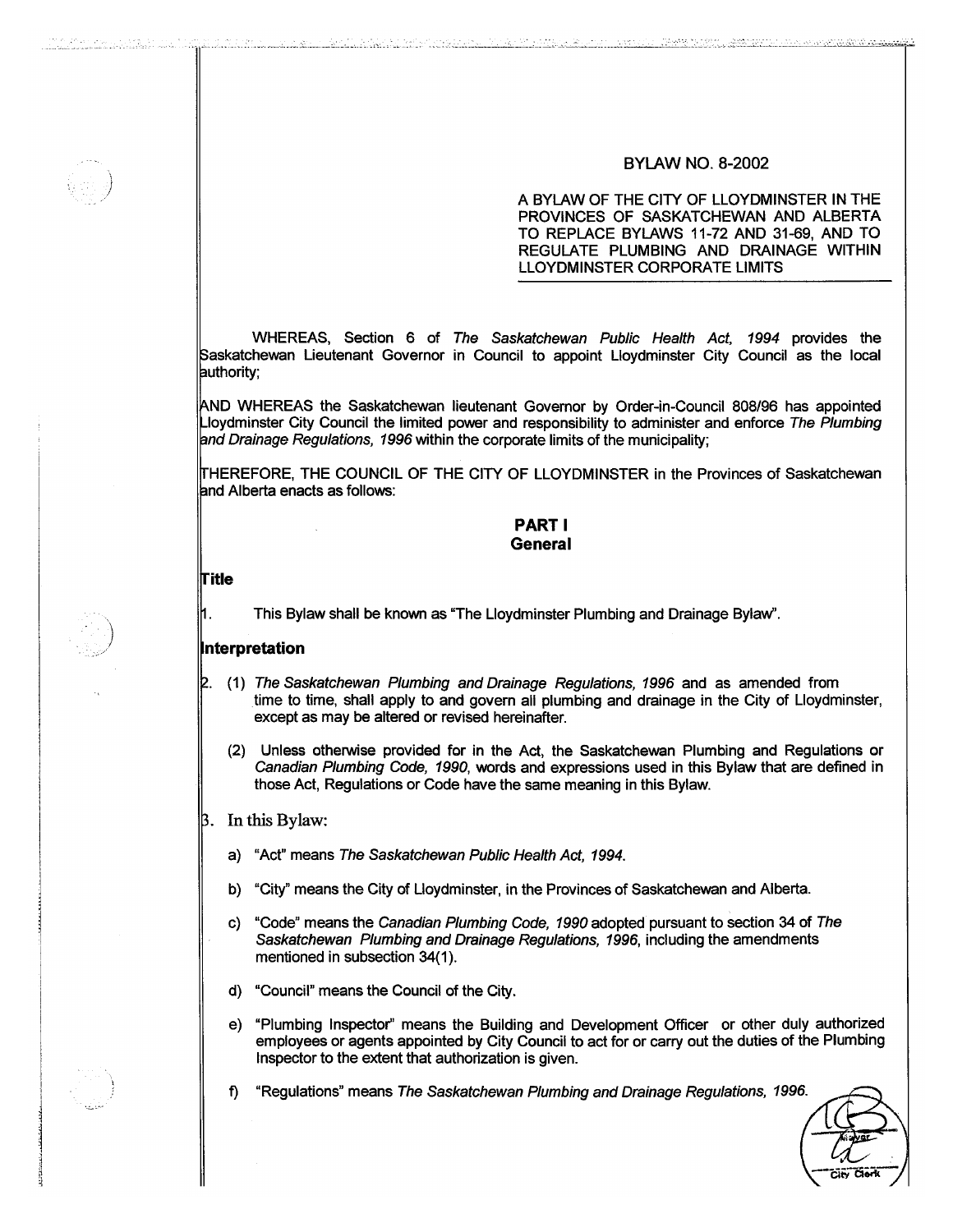# **BYLAW NO. 8-2002**

<u>MARA DA LIGA E GERA SUGUESIA DE TERRA DE L</u>

**A BYLAW OF THE CITY OF** LLOYDMINSTER IN THE PROVINCES OF SASKATCHEWAN AND ALBERTA TO REPLACE BYLAWS 11-72 AND 31-69, AND TO REGULATE PLUMBING AND DRAINAGE WITHIN LLOYDMINSTER CORPORATE LIMITS

WHEREAS, Section 6 of The Saskatchewan Public Health Act, 1994 provides the Saskatchewan Lieutenant Governor in Council to appoint Lloydminster City Council as the local uthority;

ND WHEREAS the Saskatchewan lieutenant Governor by Order-in-Council 808/96 has appointed Lloydminster City Council the limited power and responsibility to administer and enforce The Plumbing and Drainage Regulations, 1996 within the corporate limits of the municipality;

HEREFORE, THE COUNCIL OF THE CITY OF LLOYDMINSTER in the Provinces of Saskatchewan and Alberta enacts as follows:

#### **PART I General**

**itle** 

h.

<u>Kanas selitasi dengan katu mulu memberi </u>

This Bylaw shall be known as "The Lloydminster Plumbing and Drainage Bylaw".

#### **nterpretation**

- (1) The Saskatchewan Plumbing and Drainage Regulations, 1996 and as amended from time to time, shall apply to and govern all plumbing and drainage in the City of Lloydminster, except as may be altered or revised hereinafter.
	- (2) Unless otherwise provided for in the Act, the Saskatchewan Plumbing and Regulations or Canadian Plumbing Code, 1990, words and expressions used in this Bylaw that are defined in those Act, Regulations or Code have the same meaning in this Bylaw.
- In this Bylaw:
	- a) "Act" means The Saskatchewan Public Health Act, 1994.
	- b) "City" means the City of Lloydminster, in the Provinces of Saskatchewan and Alberta.
	- c) "Code" means the Canadian Plumbing Code, 1990 adopted pursuant to section 34 of The Saskatchewan Plumbing and Drainage Regulations, 1996, including the amendments mentioned in subsection 34(1).
	- d) "Council" means the Council of the City.
	- e) "Plumbing Inspector" means the Building and Development Officer or other duly authorized employees or agents appointed by City Council to act for or carry out the duties of the Plumbing Inspector to the extent that authorization is given.
	- f) "Regulations" means The Saskatchewan Plumbing and Drainage Regulations, 1996.

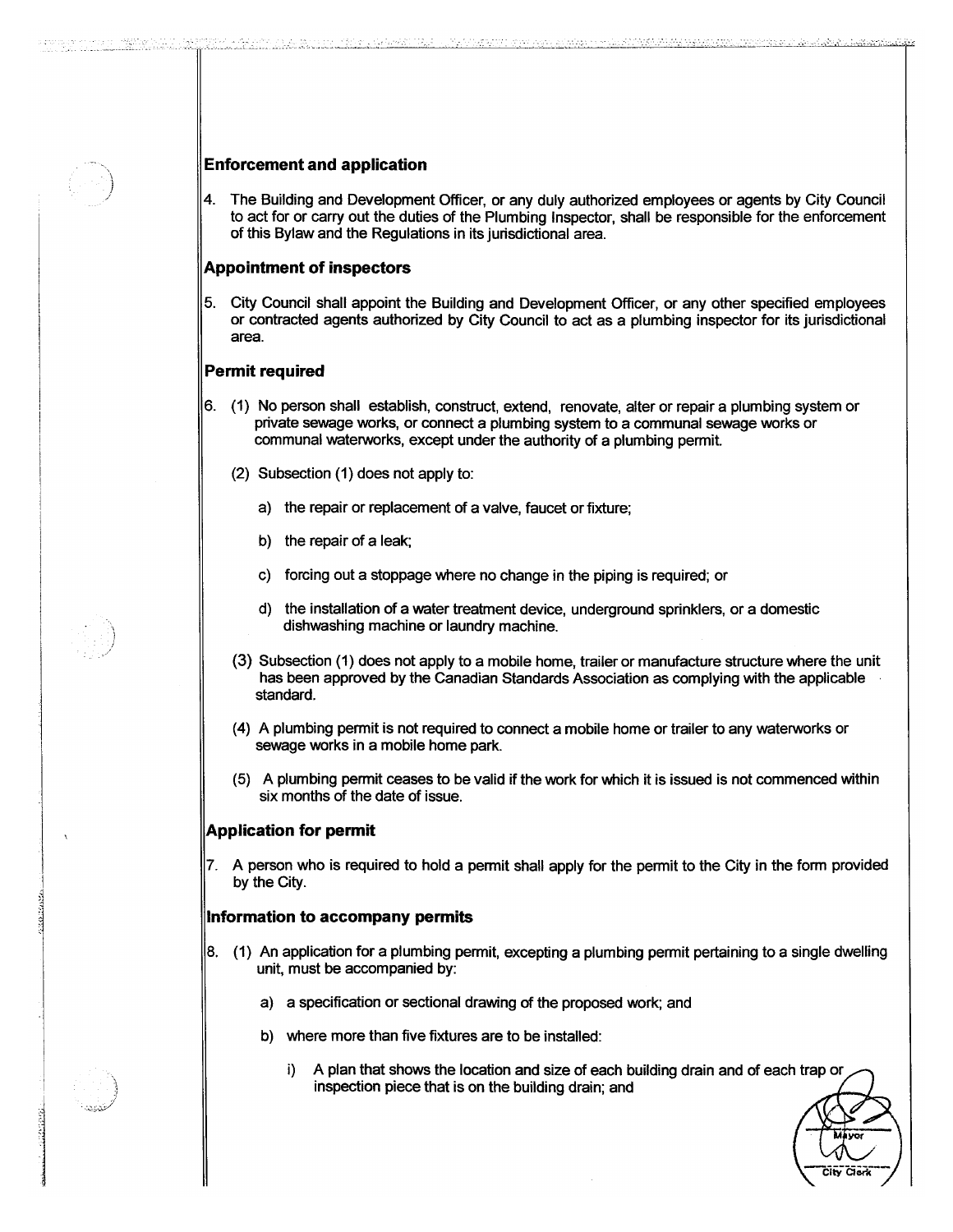# **Enforcement and application**

4. The Building and Development Officer, or any duly authorized employees or agents by City Council to act for or carry out the duties of the Plumbing Inspector, shall be responsible for the enforcement of this Bylaw and the Regulations in its jurisdictional area.

.<br>Patriotateit men aan kristan (\*

vi opist va tak

mentara di buoloko badari

#### **Appointment of inspectors**

5. City Council shall appoint the Building and Development Officer, or any other specified employees or contracted agents authorized by City Council to act as a plumbing inspector for its jurisdictional area.

#### **Permit required**

<u>anders de la provincia de la companya de la provincia de la compa</u><br>La companya de la companya de la companya de la companya de la companya de la companya de la companya de la co

- 6. (1) No person shall establish, construct, extend, renovate, alter or repair a plumbing system or private sewage works, or connect a plumbing system to a communal sewage works or communal waterworks, except under the authority of a plumbing permit.
	- (2) Subsection (1) does not apply to:
		- a) the repair or replacement of a valve, faucet or fixture;
		- b) the repair of a leak;
		- c) forcing out a stoppage where no change in the piping is required; or
		- d) the installation of a water treatment device, underground sprinklers, or a domestic dishwashing machine or laundry machine.
	- (3) Subsection (1) does not apply to a mobile home, trailer or manufacture structure where the unit has been approved by the Canadian Standards Association as complying with the applicable standard.
	- (4) A plumbing permit is not required to connect a mobile home or trailer to any waterworks or sewage works in a mobile home park.
	- (5) A plumbing permit ceases to be valid if the work for which it is issued is not commenced within six months of the date of issue.

#### **Application for permit**

7. A person who is required to hold a permit shall apply for the permit to the City in the form provided by the City.

#### **Information to accompany permits**

- 8. (1) An application for a plumbing permit, excepting a plumbing permit pertaining to a single dwelling unit, must be accompanied by:
	- a) a specification or sectional drawing of the proposed work; and
	- b) where more than five fixtures are to be installed:
		- i) A plan that shows the location and size of each building drain and of each trap or inspection piece that is on the building drain; and

**City Civic**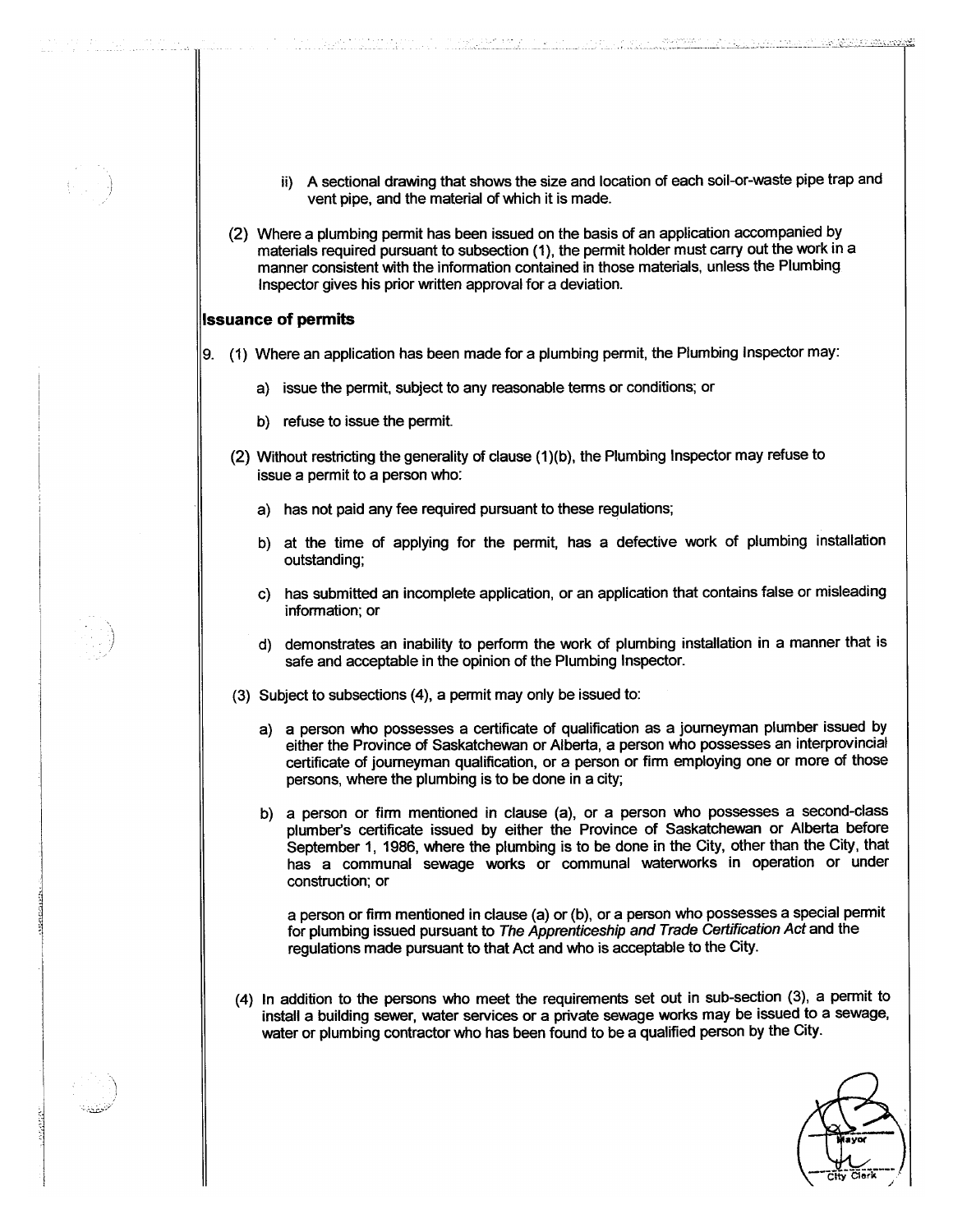ii) A sectional drawing that shows the size and location of each soil-or-waste pipe trap and vent pipe, and the material of which it is made.

<u>Tich spiel de l'homografie de la production de la production de la production de la production de la production de la production de la production de la production de la production de la production de la production de la p</u>

(2) Where a plumbing permit has been issued on the basis of an application accompanied by materials required pursuant to subsection (1), the permit holder must carry out the work in a manner consistent with the information contained in those materials, unless the Plumbing Inspector gives his prior written approval for a deviation.

#### **Issuance of permits**

a anns.<br>D'ann

alizan e de

- 9. (1) Where an application has been made for a plumbing permit, the Plumbing Inspector may:
	- a) issue the permit, subject to any reasonable terms or conditions; or
	- b) refuse to issue the permit.
	- (2) Without restricting the generality of clause (1)(b), the Plumbing Inspector may refuse to issue a permit to a person who:
		- a) has not paid any fee required pursuant to these regulations;
		- b) at the time of applying for the permit, has a defective work of plumbing installation outstanding;
		- c) has submitted an incomplete application, or an application that contains false or misleading information; or
		- d) demonstrates an inability to perform the work of plumbing installation in a manner that is safe and acceptable in the opinion of the Plumbing Inspector.
	- (3) Subject to subsections (4), a permit may only be issued to:
		- a) a person who possesses a certificate of qualification as a journeyman plumber issued by either the Province of Saskatchewan or Alberta, a person who possesses an interprovincial certificate of journeyman qualification, or a person or firm employing one or more of those persons, where the plumbing is to be done in a city;
		- b) a person or firm mentioned in clause (a), or a person who possesses a second-class plumber's certificate issued by either the Province of Saskatchewan or Alberta before September 1, 1986, where the plumbing is to be done in the City, other than the City, that has a communal sewage works or communal waterworks in operation or under construction; or

a person or firm mentioned in clause (a) or (b), or a person who possesses a special permit for plumbing issued pursuant to The Apprenticeship and Trade Certification Act and the regulations made pursuant to that Act and who is acceptable to the City.

(4) In addition to the persons who meet the requirements set out in sub-section (3), a permit to install a building sewer, water services or a private sewage works may be issued to a sewage, water or plumbing contractor who has been found to be a qualified person by the City.

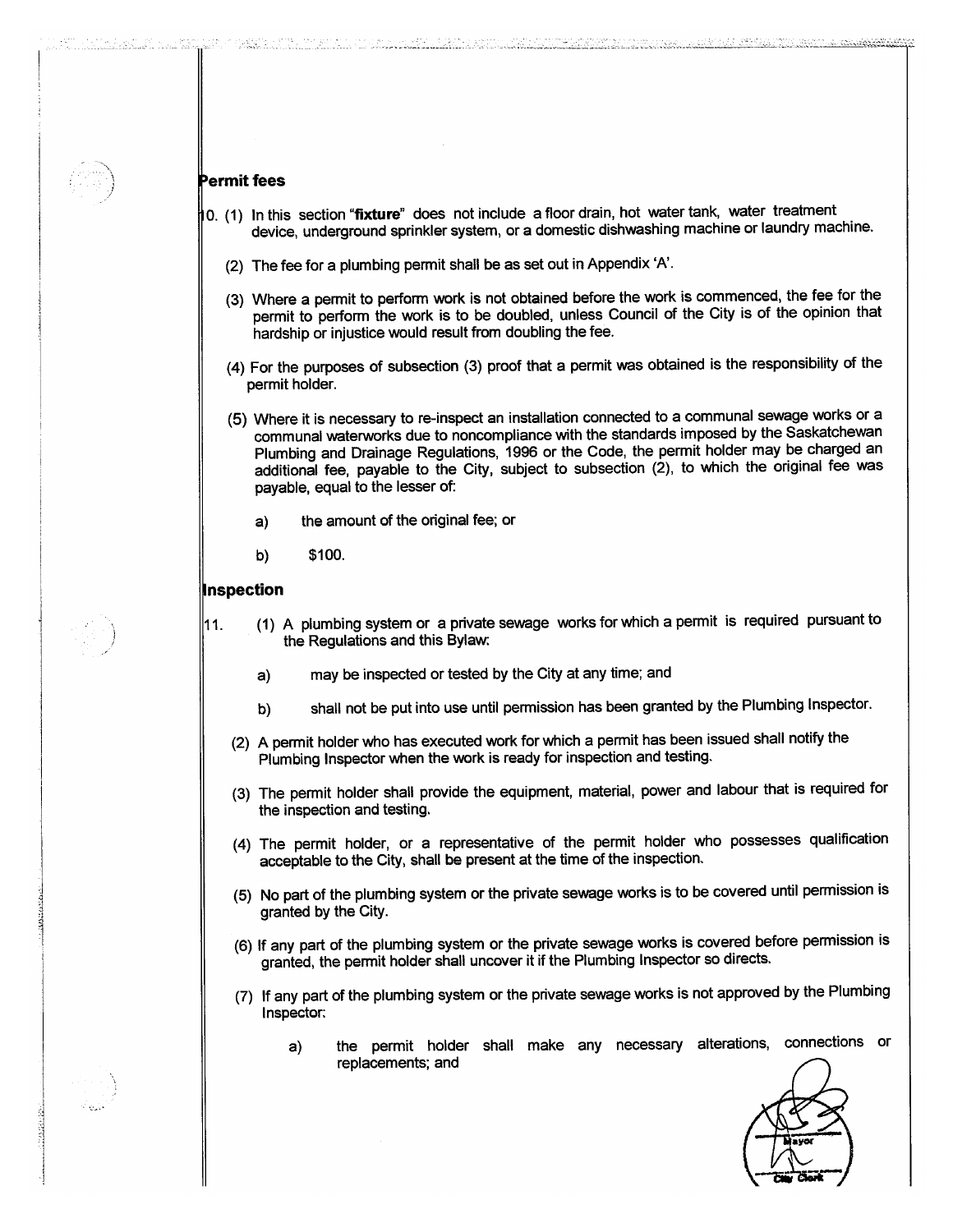#### **Permit fees**

- 0. (1) In this section **"fixture"** does not include a floor drain, hot water tank, water treatment device, underground sprinkler system, or a domestic dishwashing machine or laundry machine.
	- (2) The fee for a plumbing permit shall be as set out in Appendix 'A'.
	- (3) Where a permit to perform work is not obtained before the work is commenced, the fee for the permit to perform the work is to be doubled, unless Council of the City is of the opinion that hardship or injustice would result from doubling the fee.
	- (4) For the purposes of subsection (3) proof that a permit was obtained is the responsibility of the permit holder.
	- (5) Where it is necessary to re-inspect an installation connected to a communal sewage works or a communal waterworks due to noncompliance with the standards imposed by the Saskatchewan Plumbing and Drainage Regulations, 1996 or the Code, the permit holder may be charged an additional fee, payable to the City, subject to subsection (2), to which the original fee was payable, equal to the lesser of:
		- a) the amount of the original fee; or

<u>Leolis del Rolley de Santo de la provincia del control de la controlación de la controlación de la control de</u>

b) \$100.

# <sup>I</sup>**nspection**

- 11. (1) A plumbing system or a private sewage works for which a permit is required pursuant to the Regulations and this Bylaw:
	- a) may be inspected or tested by the City at any time; and
	- b) shall not be put into use until permission has been granted by the Plumbing Inspector.
	- (2) A permit holder who has executed work for which a permit has been issued shall notify the Plumbing Inspector when the work is ready for inspection and testing.
	- (3) The permit holder shall provide the equipment, material, power and labour that is required for the inspection and testing.
	- (4) The permit holder, or a representative of the permit holder who possesses qualification acceptable to the City, shall be present at the time of the inspection.
	- (5) No part of the plumbing system or the private sewage works is to be covered until permission is granted by the City.
	- (6) If any part of the plumbing system or the private sewage works is covered before permission is granted, the permit holder shall uncover it if the Plumbing Inspector so directs.
	- (7) If any part of the plumbing system or the private sewage works is not approved by the Plumbing Inspector:
		- a) the permit holder shall make any necessary alterations, connections or replacements; and



<u>det av andre fall et van de namme gruppe</u>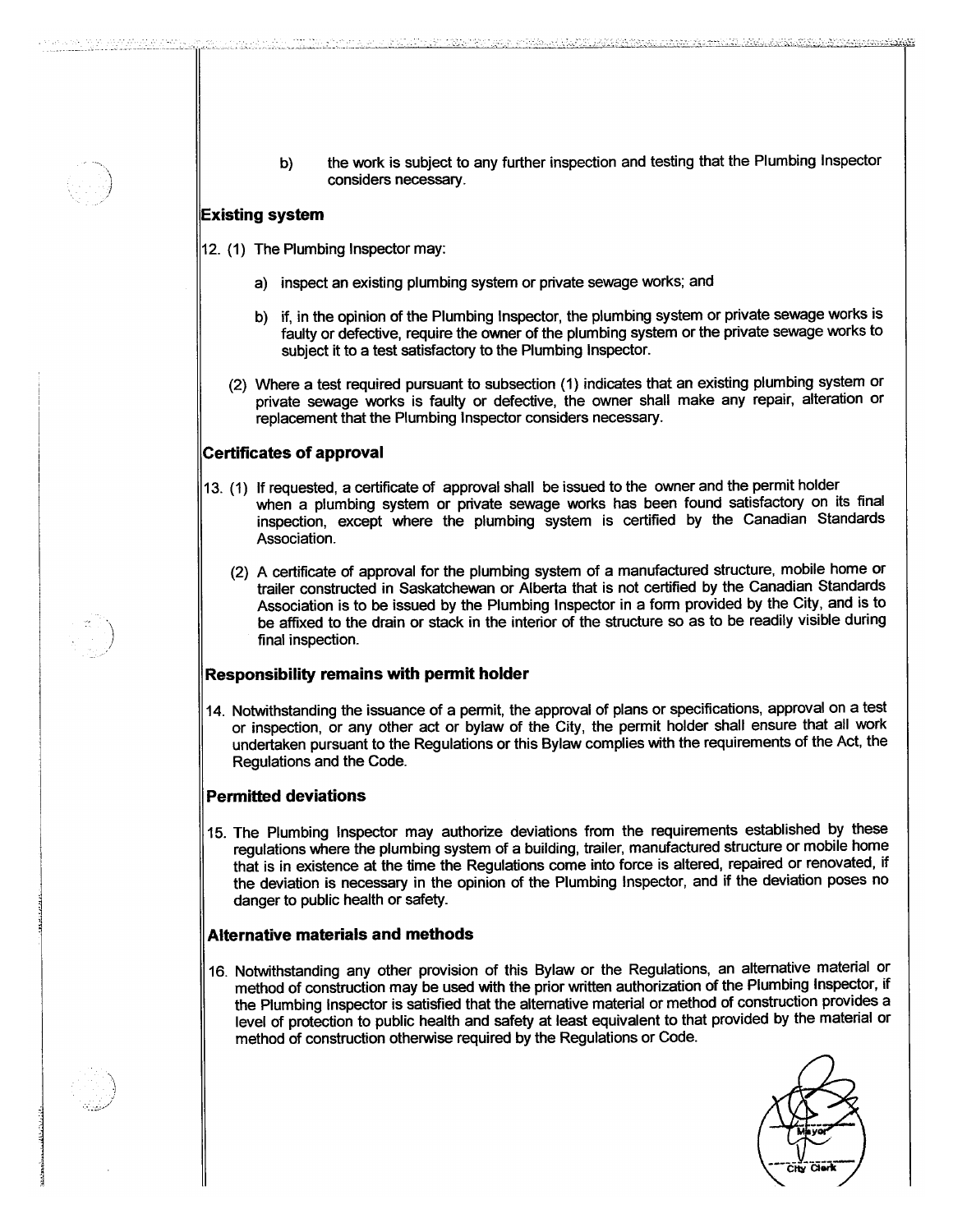b) the work is subject to any further inspection and testing that the Plumbing Inspector considers necessary.

AS A CHÉANN A AN DAILEAN AN CAMAIL IOMAIS A CHANN AN AIR AN AIR AIR AN AS AN AIR AIR AIR A

# **Existing system**

12. (1) The Plumbing Inspector may:

- a) inspect an existing plumbing system or private sewage works; and
- b) if, in the opinion of the Plumbing Inspector, the plumbing system or private sewage works is faulty or defective, require the owner of the plumbing system or the private sewage works to subject it to a test satisfactory to the Plumbing Inspector.
- (2) Where a test required pursuant to subsection (1) indicates that an existing plumbing system or private sewage works is faulty or defective, the owner shall make any repair, alteration or replacement that the Plumbing Inspector considers necessary.

# **Certificates of approval**

- 13. (1) If requested, a certificate of approval shall be issued to the owner and the permit holder when a plumbing system or private sewage works has been found satisfactory on its final inspection, except where the plumbing system is certified by the Canadian Standards Association.
	- (2) A certificate of approval for the plumbing system of a manufactured structure, mobile home or trailer constructed in Saskatchewan or Alberta that is not certified by the Canadian Standards Association is to be issued by the Plumbing Inspector in a form provided by the City, and is to be affixed to the drain or stack in the interior of the structure so as to be readily visible during final inspection.

# **Responsibility remains with permit holder**

14. Notwithstanding the issuance of a permit, the approval of plans or specifications, approval on a test or inspection, or any other act or bylaw of the City, the permit holder shall ensure that all work undertaken pursuant to the Regulations or this Bylaw complies with the requirements of the Act, the Regulations and the Code.

# **Permitted deviations**

15. The Plumbing Inspector may authorize deviations from the requirements established by these regulations where the plumbing system of a building, trailer, manufactured structure or mobile home that is in existence at the time the Regulations come into force is altered, repaired or renovated, if the deviation is necessary in the opinion of the Plumbing Inspector, and if the deviation poses no danger to public health or safety.

# **Alternative materials and methods**

16. Notwithstanding any other provision of this Bylaw or the Regulations, an alternative material or method of construction may be used with the prior written authorization of the Plumbing Inspector, if the Plumbing Inspector is satisfied that the alternative material or method of construction provides a level of protection to public health and safety at least equivalent to that provided by the material or method of construction otherwise required by the Regulations or Code.



<u>Administrações de constan</u>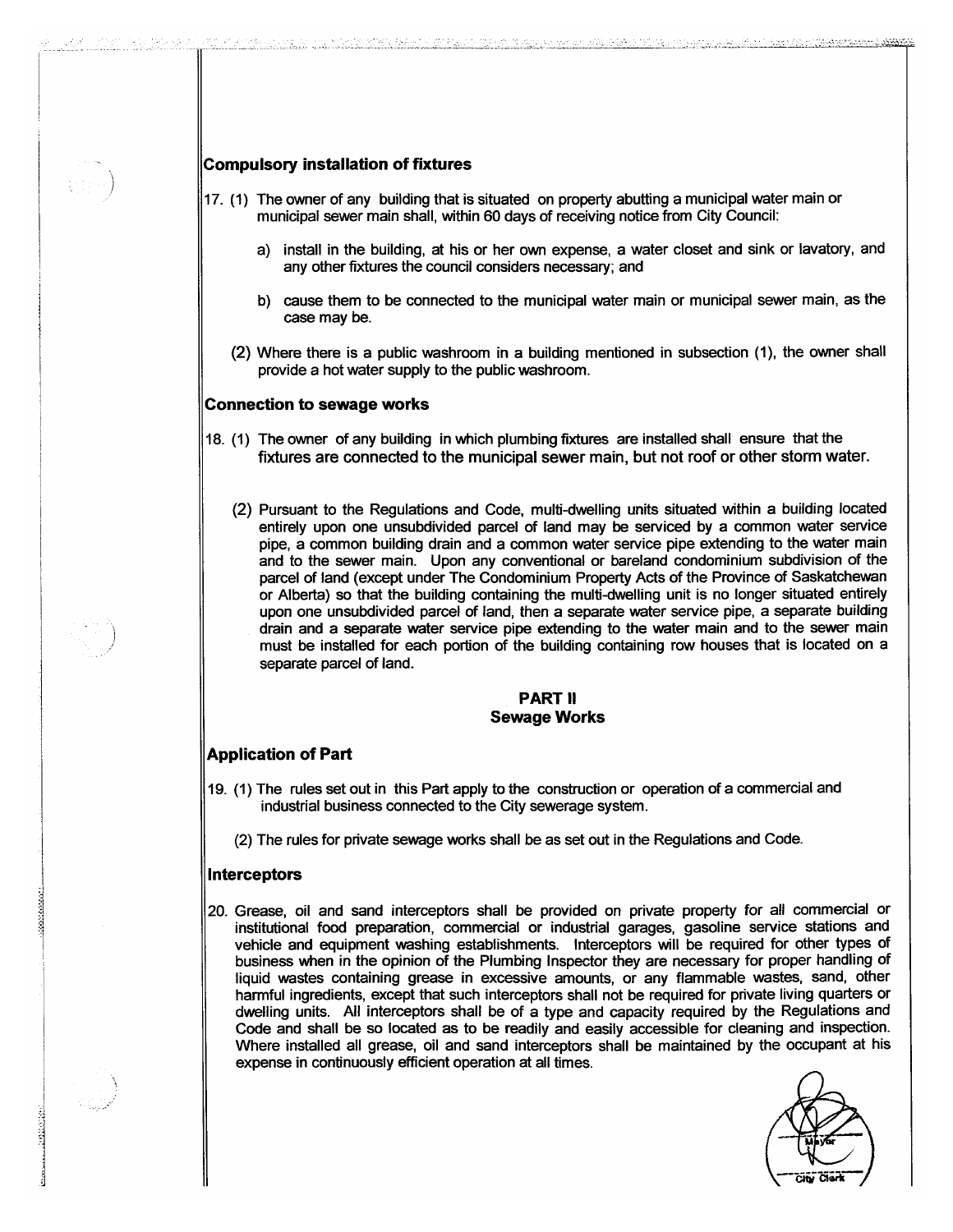# **Compulsory installation of fixtures**

<u>Kili Kanati ya Ma</u>

- 17. (1) The owner of any building that is situated on property abutting a municipal water main or municipal sewer main shall, within 60 days of receiving notice from City Council:
	- a) install in the building, at his or her own expense, a water closet and sink or lavatory, and any other fixtures the council considers necessary; and

<u> Mikali Birin Kayaya ye eo elkalishi Mjika Madalu, Alani bashka Mateksani Alan</u>

- b) cause them to be connected to the municipal water main or municipal sewer main, as the case may be.
- (2) Where there is a public washroom in a building mentioned in subsection (1), the owner shall provide a hot water supply to the public washroom.

#### **Connection to sewage works**

- 18. (1) The owner of any building in which plumbing fixtures are installed shall ensure that the fixtures are connected to the municipal sewer main, but not roof or other storm water.
	- (2) Pursuant to the Regulations and Code, multi-dwelling units situated within a building located entirely upon one unsubdivided parcel of land may be serviced by a common water service pipe, a common building drain and a common water service pipe extending to the water main and to the sewer main. Upon any conventional or bareland condominium subdivision of the parcel of land (except under The Condominium Property Acts of the Province of Saskatchewan or Alberta) so that the building containing the multi-dwelling unit is no longer situated entirely upon one unsubdivided parcel of land, then a separate water service pipe, a separate building drain and a separate water service pipe extending to the water main and to the sewer main must be installed for each portion of the building containing row houses that is located on a separate parcel of land.

#### **PART II Sewage Works**

# **Application of Part**

- 19. (1) The rules set out in this Part apply to the construction or operation of a commercial and industrial business connected to the City sewerage system.
	- (2) The rules for private sewage works shall be as set out in the Regulations and Code.

#### **Interceptors**

20. Grease, oil and sand interceptors shall be provided on private property for all commercial or institutional food preparation, commercial or industrial garages, gasoline service stations and vehicle and equipment washing establishments. Interceptors will be required for other types of business when in the opinion of the Plumbing Inspector they are necessary for proper handling of liquid wastes containing grease in excessive amounts, or any flammable wastes, sand, other harmful ingredients, except that such interceptors shall not be required for private living quarters or dwelling units. All interceptors shall be of a type and capacity required by the Regulations and Code and shall be so located as to be readily and easily accessible for cleaning and inspection. Where installed all grease, oil and sand interceptors shall be maintained by the occupant at his expense in continuously efficient operation at all times.

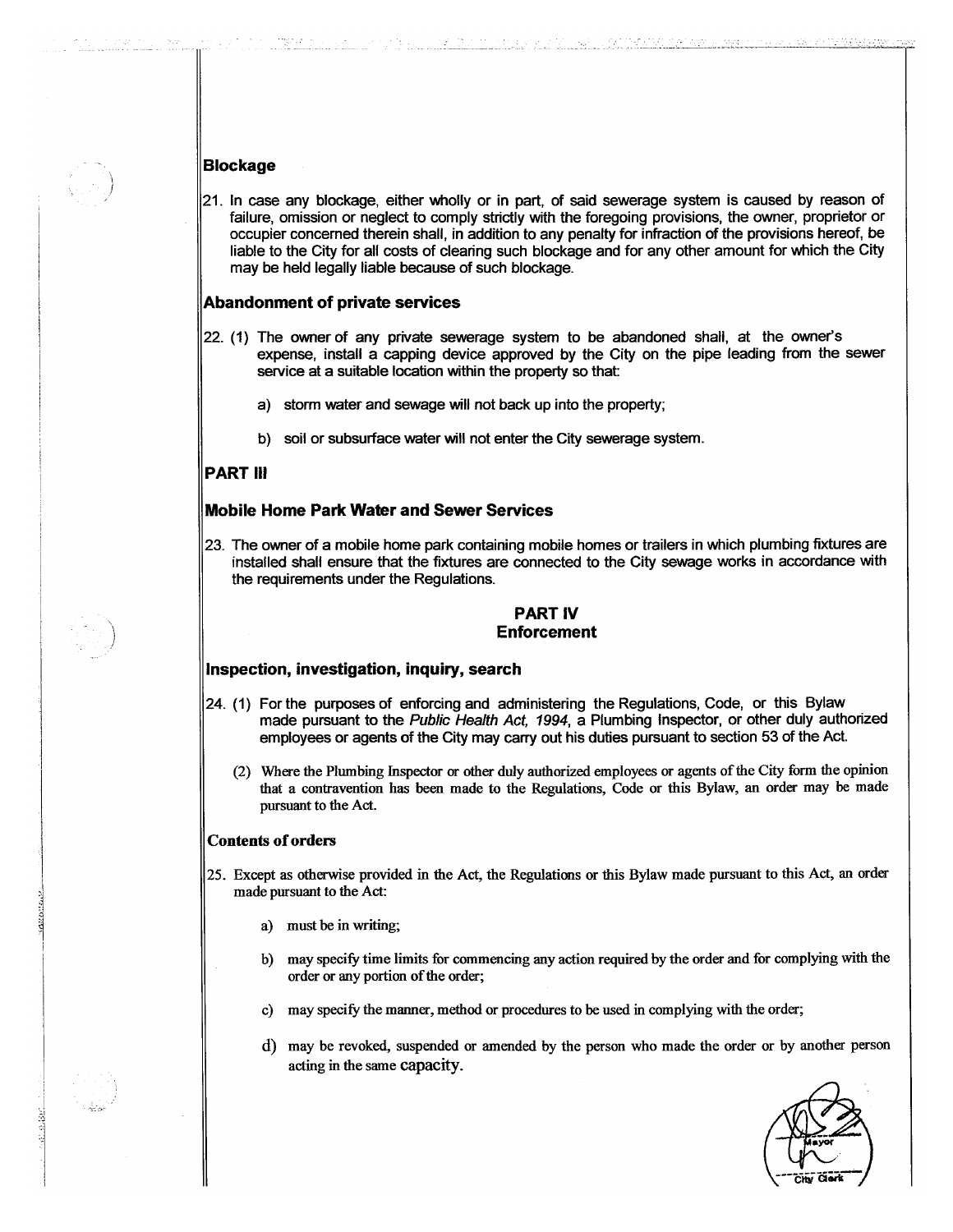#### **Blockage**

21. In case any blockage, either wholly or in part, of said sewerage system is caused by reason of failure, omission or neglect to comply strictly with the foregoing provisions, the owner, proprietor or occupier concerned therein shall, in addition to any penalty for infraction of the provisions hereof, be liable to the City for all costs of clearing such blockage and for any other amount for which the City may be held legally liable because of such blockage.

<u>is distributed a france in the community of the P</u>

#### **Abandonment of private services**

- 22. (1) The owner of any private sewerage system to be abandoned shall, at the owner's expense, install a capping device approved by the City on the pipe leading from the sewer service at a suitable location within the property so that:
	- a) storm water and sewage will not back up into the property;
	- b) soil or subsurface water will not enter the City sewerage system.

#### **PART Ill**

#### **Mobile Home Park Water and Sewer Services**

23. The owner of a mobile home park containing mobile homes or trailers in which plumbing fixtures are installed shall ensure that the fixtures are connected to the City sewage works in accordance with the requirements under the Regulations.

# **PART IV**

# **Enforcement**

#### **Inspection, investigation, inquiry, search**

- 24. (1) For the purposes of enforcing and administering the Regulations, Code, or this Bylaw made pursuant to the Public Health Act, 1994, a Plumbing Inspector, or other duly authorized employees or agents of the City may carry out his duties pursuant to section 53 of the Act.
	- (2) Where the Plumbing Inspector or other duly authorized employees or agents of the City form the opinion that a contravention has been made to the Regulations, Code or this Bylaw, an order may be made pursuant to the Act.

#### **Contents of orders**

- 25. Except as otherwise provided in the Act, the Regulations or this Bylaw made pursuant to this Act, an order made pursuant to the Act:
	- a) must be in writing;
	- b) may specify time limits for commencing any action required by the order and for complying with the order or any portion of the order;
	- c) may specify the manner, method or procedures to be used in complying with the order;
	- d) may be revoked, suspended or amended by the person who made the order or by another person acting in the same capacity.

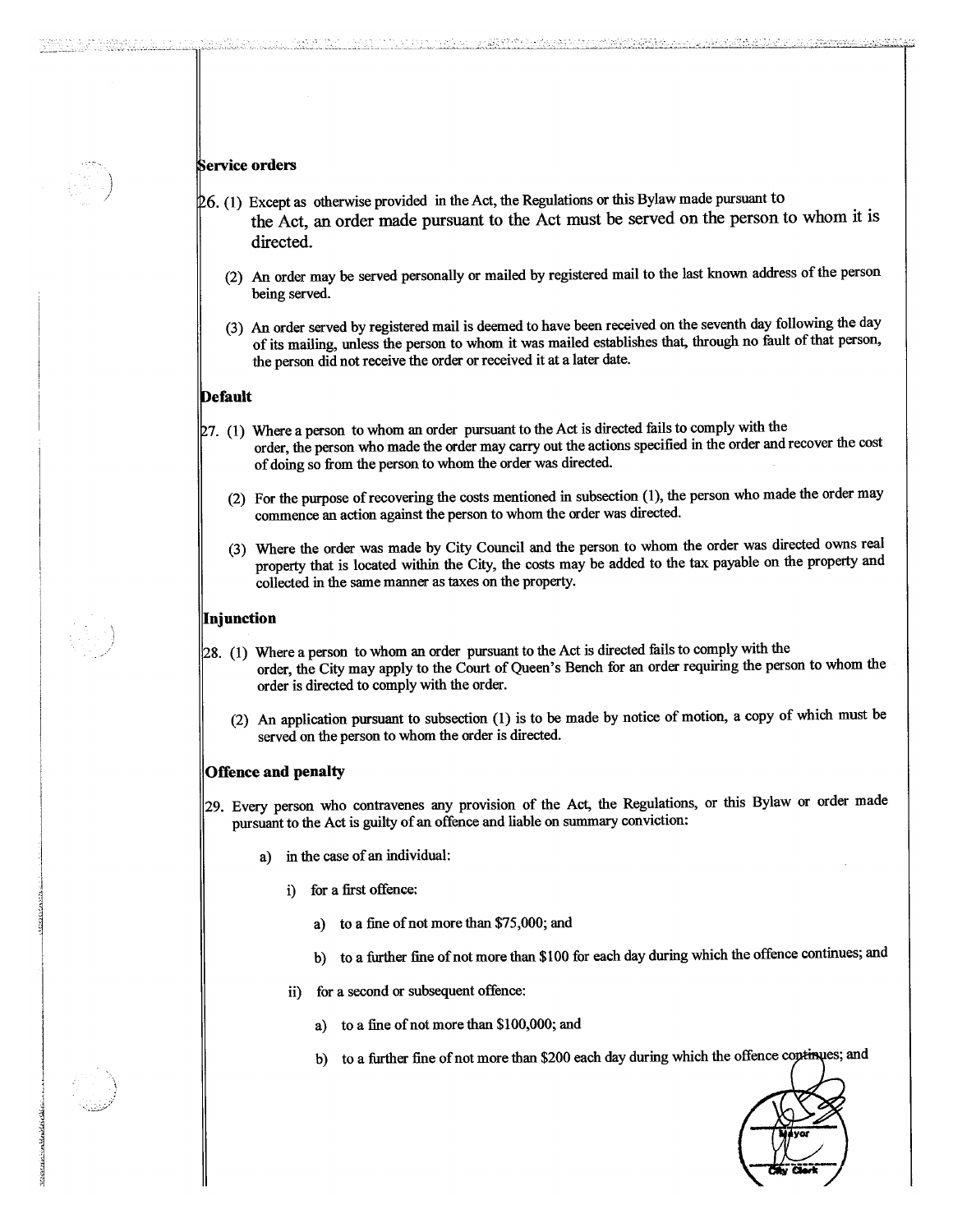#### Service orders

المناسبة المتحدث المناسبة.<br>المناسبة المناسبة المناسبة المناسبة

 $\beta$ 6. (1) Except as otherwise provided in the Act, the Regulations or this Bylaw made pursuant to the Act, an order made pursuant to the Act must be served on the person to whom it is directed.

-20 yang buong mada

- (2) An order may be served personally or mailed by registered mail to the last known address of the person being served.
- (3) An order served by registered mail is deemed to have been received on the seventh day following the day of its mailing, unless the person to whom it was mailed establishes that, through no fault of that person, the person did not receive the order or received it at a later date.

#### **Default**

- 7. (1) Where a person to whom an order pursuant to the Act is directed fails to comply with the order, the person who made the order may carry out the actions specified in the order and recover the cost of doing so from the person to whom the order was directed.
	- (2) For the purpose of recovering the costs mentioned in subsection (1), the person who made the order may commence an action against the person to whom the order was directed.
	- (3) Where the order was made by City Council and the person to whom the order was directed owns real property that is located within the City, the costs may be added to the tax payable on the property and collected in the same manner as taxes on the property.

#### **Injunction**

- 28. (1) Where a person to whom an order pursuant to the Act is directed fails to comply with the order, the City may apply to the Court of Queen's Bench for an order requiring the person to whom the order is directed to comply with the order.
	- (2) An application pursuant to subsection (1) is to be made by notice of motion, a copy of which must be served on the person to whom the order is directed.

#### **Offence and penalty**

- 29. Every person who contravenes any provision of the Act, the Regulations, or this Bylaw or order made pursuant to the Act is guilty of an offence and liable on summary conviction:
	- a) in the case of an individual:
		- i) for a first offence:
			- a) to a fine of not more than \$75,000; and
			- b) to a further fine of not more than \$100 for each day during which the offence continues; and
		- ii) for a second or subsequent offence:
			- a) to a fine of not more than \$100,000; and
			- b) to a further fine of not more than \$200 each day during which the offence coptinues; and

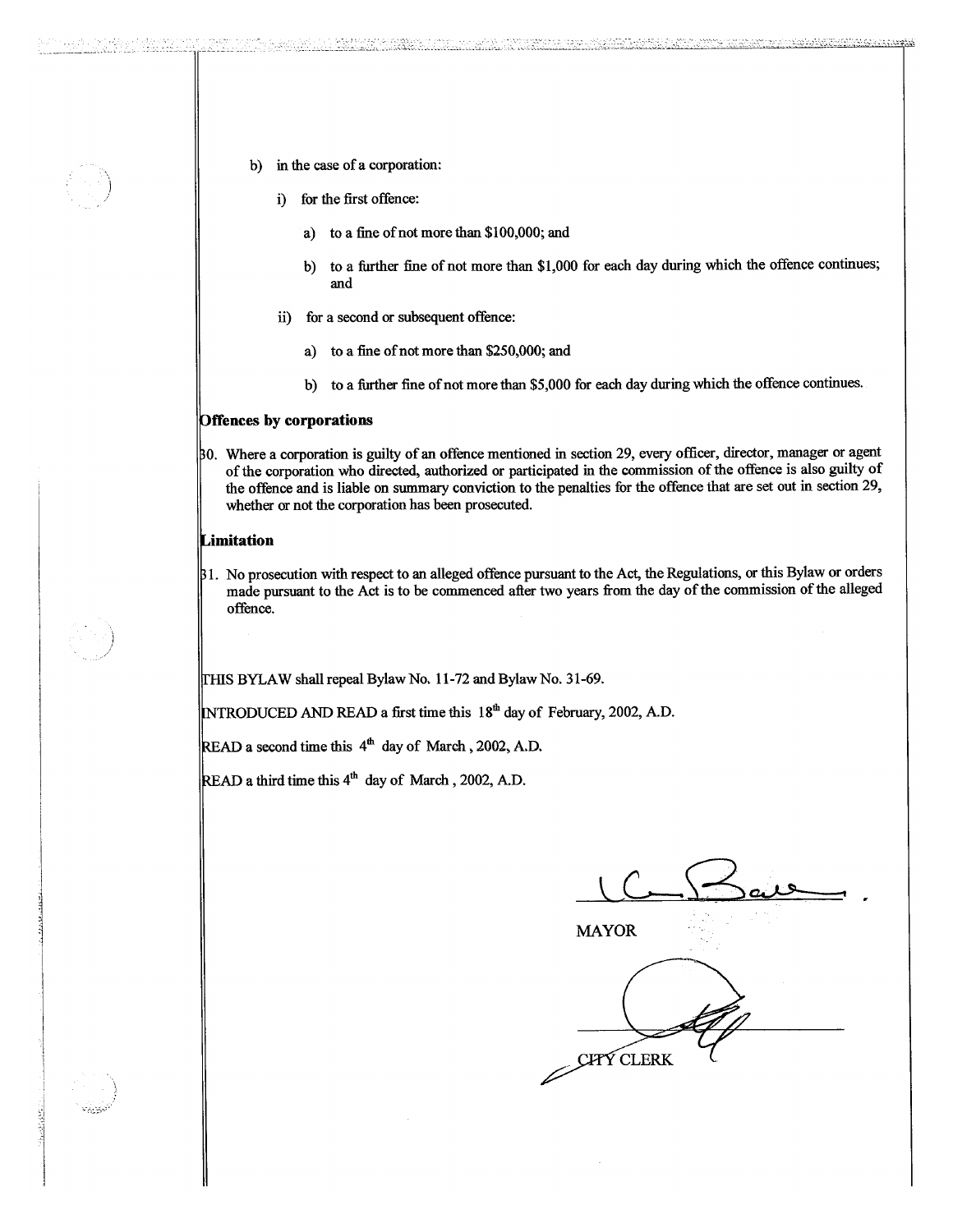

ansarang

- b) in the case of a corporation;
	- i) for the first offence:
		- a) to a fine of not more than \$100,000; and
		- b) to a further fine of not more than \$1,000 for each day during which the offence continues; and
	- ii) for a second or subsequent offence:
		- a) to a fine of not more than \$250,000; and
		- b) to a further fine of not more than \$5,000 for each day during which the offence continues.

#### **ffences by corporations**

 $\parallel$  80. Where a corporation is guilty of an offence mentioned in section 29, every officer, director, manager or agent of the corporation who directed, authorized or participated in the commission of the offence is also guilty of the offence and is liable on summary conviction to the penalties for the offence that are set out in section 29, whether or not the corporation has been prosecuted.

**SECURERS REP** 

#### **imitation**

1. No prosecution with respect to an alleged offence pursuant to the Act, the Regulations, or this Bylaw or orders made pursuant to the Act is to be commenced after two years from the day of the commission of the alleged offence.

HIS BYLAW shall repeal Bylaw No. 11-72 and Bylaw No. 31-69.

INTRODUCED AND READ a first time this  $18<sup>th</sup>$  day of February, 2002, A.D.

READ a second time this  $4<sup>th</sup>$  day of March, 2002, A.D.

READ a third time this  $4<sup>th</sup>$  day of March, 2002, A.D.

A POST COMPLETE LA LIMITATION MANUSCRAPTER CONTINUES.

MAYOR

**CITY CLERK**